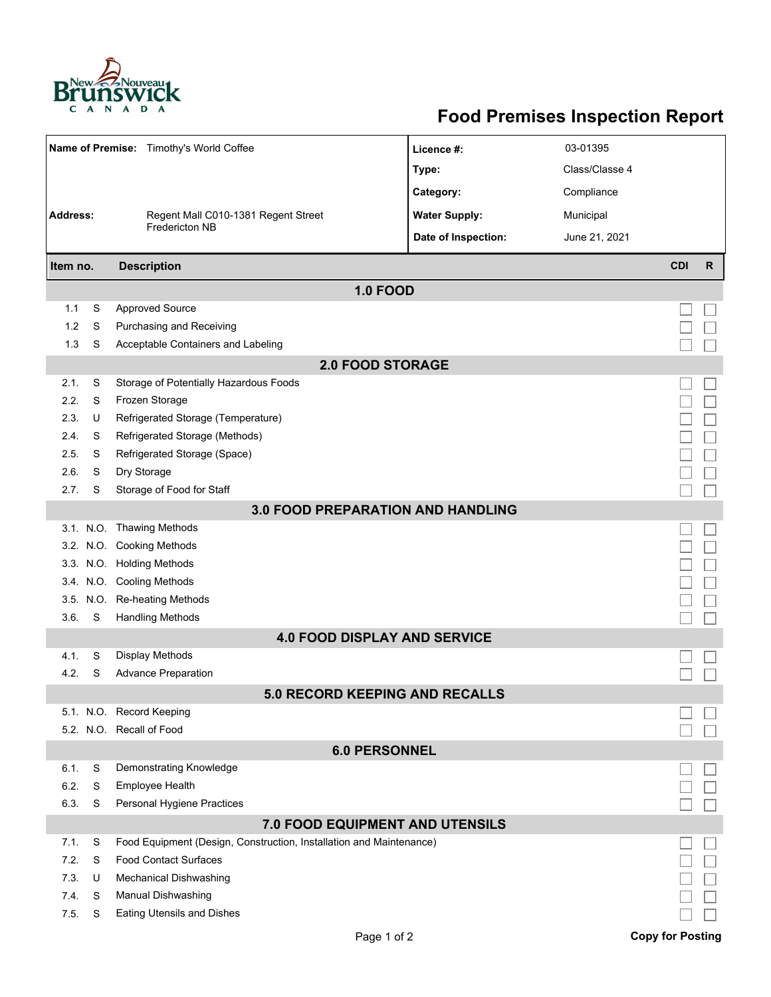

## **Food Premises Inspection Report**

|                         |   | Name of Premise: Timothy's World Coffee                             | Licence #:           | 03-01395       |                         |    |  |  |  |  |  |  |
|-------------------------|---|---------------------------------------------------------------------|----------------------|----------------|-------------------------|----|--|--|--|--|--|--|
|                         |   |                                                                     | Type:                | Class/Classe 4 |                         |    |  |  |  |  |  |  |
|                         |   |                                                                     | Category:            | Compliance     |                         |    |  |  |  |  |  |  |
| <b>Address:</b>         |   | Regent Mall C010-1381 Regent Street                                 | <b>Water Supply:</b> | Municipal      |                         |    |  |  |  |  |  |  |
|                         |   | Fredericton NB                                                      | Date of Inspection:  | June 21, 2021  |                         |    |  |  |  |  |  |  |
|                         |   |                                                                     |                      |                |                         |    |  |  |  |  |  |  |
| Item no.                |   | <b>Description</b>                                                  |                      |                | <b>CDI</b>              | R. |  |  |  |  |  |  |
| <b>1.0 FOOD</b>         |   |                                                                     |                      |                |                         |    |  |  |  |  |  |  |
| 1.1                     | S | <b>Approved Source</b>                                              |                      |                |                         |    |  |  |  |  |  |  |
| 1.2                     | S | Purchasing and Receiving                                            |                      |                |                         |    |  |  |  |  |  |  |
| 1.3                     | S | Acceptable Containers and Labeling                                  |                      |                |                         |    |  |  |  |  |  |  |
| <b>2.0 FOOD STORAGE</b> |   |                                                                     |                      |                |                         |    |  |  |  |  |  |  |
| 2.1.                    | S | Storage of Potentially Hazardous Foods                              |                      |                |                         |    |  |  |  |  |  |  |
| 2.2.                    | S | Frozen Storage                                                      |                      |                |                         |    |  |  |  |  |  |  |
| 2.3.                    | U | Refrigerated Storage (Temperature)                                  |                      |                |                         |    |  |  |  |  |  |  |
| 2.4.                    | S | Refrigerated Storage (Methods)                                      |                      |                |                         |    |  |  |  |  |  |  |
| 2.5.                    | S | Refrigerated Storage (Space)                                        |                      |                |                         |    |  |  |  |  |  |  |
| 2.6.                    | S | Dry Storage                                                         |                      |                |                         |    |  |  |  |  |  |  |
| 2.7.                    | S | Storage of Food for Staff                                           |                      |                |                         |    |  |  |  |  |  |  |
|                         |   | <b>3.0 FOOD PREPARATION AND HANDLING</b>                            |                      |                |                         |    |  |  |  |  |  |  |
|                         |   | 3.1. N.O. Thawing Methods                                           |                      |                |                         |    |  |  |  |  |  |  |
|                         |   | 3.2. N.O. Cooking Methods                                           |                      |                |                         |    |  |  |  |  |  |  |
|                         |   | 3.3. N.O. Holding Methods                                           |                      |                |                         |    |  |  |  |  |  |  |
|                         |   | 3.4. N.O. Cooling Methods                                           |                      |                |                         |    |  |  |  |  |  |  |
|                         |   | 3.5. N.O. Re-heating Methods                                        |                      |                |                         |    |  |  |  |  |  |  |
| 3.6.                    | S | <b>Handling Methods</b>                                             |                      |                |                         |    |  |  |  |  |  |  |
|                         |   | <b>4.0 FOOD DISPLAY AND SERVICE</b>                                 |                      |                |                         |    |  |  |  |  |  |  |
| 4.1.                    | S | Display Methods                                                     |                      |                |                         |    |  |  |  |  |  |  |
| 4.2.                    | S | <b>Advance Preparation</b>                                          |                      |                |                         |    |  |  |  |  |  |  |
|                         |   | <b>5.0 RECORD KEEPING AND RECALLS</b>                               |                      |                |                         |    |  |  |  |  |  |  |
|                         |   | 5.1. N.O. Record Keeping                                            |                      |                |                         |    |  |  |  |  |  |  |
|                         |   | 5.2. N.O. Recall of Food                                            |                      |                |                         |    |  |  |  |  |  |  |
|                         |   | <b>6.0 PERSONNEL</b>                                                |                      |                |                         |    |  |  |  |  |  |  |
| 6.1.                    | S | Demonstrating Knowledge                                             |                      |                |                         |    |  |  |  |  |  |  |
| 6.2.                    | S | Employee Health                                                     |                      |                |                         |    |  |  |  |  |  |  |
| 6.3.                    | S | Personal Hygiene Practices                                          |                      |                |                         |    |  |  |  |  |  |  |
|                         |   | <b>7.0 FOOD EQUIPMENT AND UTENSILS</b>                              |                      |                |                         |    |  |  |  |  |  |  |
| 7.1.                    | S | Food Equipment (Design, Construction, Installation and Maintenance) |                      |                |                         |    |  |  |  |  |  |  |
| 7.2.                    | S | <b>Food Contact Surfaces</b>                                        |                      |                |                         |    |  |  |  |  |  |  |
| 7.3                     | U | <b>Mechanical Dishwashing</b>                                       |                      |                |                         |    |  |  |  |  |  |  |
| 7.4.                    | S | Manual Dishwashing                                                  |                      |                |                         |    |  |  |  |  |  |  |
| 7.5.                    | S | <b>Eating Utensils and Dishes</b>                                   |                      |                |                         |    |  |  |  |  |  |  |
|                         |   | Page 1 of 2                                                         |                      |                | <b>Copy for Posting</b> |    |  |  |  |  |  |  |